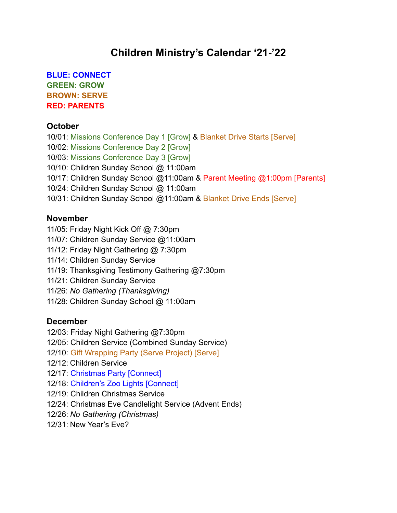# **Children Ministry's Calendar '21-'22**

**BLUE: CONNECT GREEN: GROW BROWN: SERVE RED: PARENTS**

#### **October**

10/01: Missions Conference Day 1 [Grow] & Blanket Drive Starts [Serve] 10/02: Missions Conference Day 2 [Grow] 10/03: Missions Conference Day 3 [Grow] 10/10: Children Sunday School @ 11:00am 10/17: Children Sunday School @11:00am & Parent Meeting @1:00pm [Parents] 10/24: Children Sunday School @ 11:00am 10/31: Children Sunday School @11:00am & Blanket Drive Ends [Serve]

#### **November**

- 11/05: Friday Night Kick Off @ 7:30pm
- 11/07: Children Sunday Service @11:00am
- 11/12: Friday Night Gathering @ 7:30pm
- 11/14: Children Sunday Service
- 11/19: Thanksgiving Testimony Gathering @7:30pm
- 11/21: Children Sunday Service
- 11/26: *No Gathering (Thanksgiving)*
- 11/28: Children Sunday School @ 11:00am

#### **December**

- 12/03: Friday Night Gathering @7:30pm
- 12/05: Children Service (Combined Sunday Service)
- 12/10: Gift Wrapping Party (Serve Project) [Serve]
- 12/12: Children Service
- 12/17: Christmas Party [Connect]
- 12/18: Children's Zoo Lights [Connect]
- 12/19: Children Christmas Service
- 12/24: Christmas Eve Candlelight Service (Advent Ends)
- 12/26: *No Gathering (Christmas)*
- 12/31: New Year's Eve?